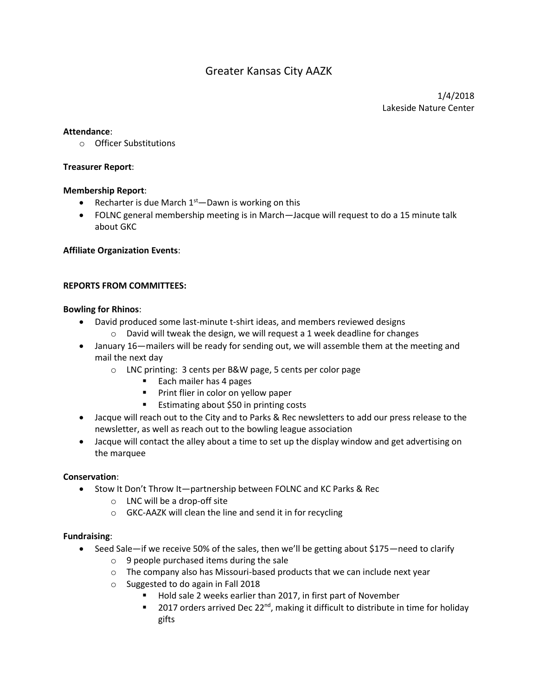# Greater Kansas City AAZK

1/4/2018 Lakeside Nature Center

#### **Attendance**:

o Officer Substitutions

#### **Treasurer Report**:

#### **Membership Report**:

- Recharter is due March  $1<sup>st</sup>$  Dawn is working on this
- FOLNC general membership meeting is in March—Jacque will request to do a 15 minute talk about GKC

#### **Affiliate Organization Events**:

# **REPORTS FROM COMMITTEES:**

#### **Bowling for Rhinos**:

- David produced some last-minute t-shirt ideas, and members reviewed designs
	- o David will tweak the design, we will request a 1 week deadline for changes
- January 16—mailers will be ready for sending out, we will assemble them at the meeting and mail the next day
	- o LNC printing: 3 cents per B&W page, 5 cents per color page
		- Each mailer has 4 pages
		- Print flier in color on yellow paper
		- **Estimating about \$50 in printing costs**
- Jacque will reach out to the City and to Parks & Rec newsletters to add our press release to the newsletter, as well as reach out to the bowling league association
- Jacque will contact the alley about a time to set up the display window and get advertising on the marquee

# **Conservation**:

- Stow It Don't Throw It-partnership between FOLNC and KC Parks & Rec
	- o LNC will be a drop-off site
	- o GKC-AAZK will clean the line and send it in for recycling

# **Fundraising**:

- Seed Sale—if we receive 50% of the sales, then we'll be getting about \$175—need to clarify
	- o 9 people purchased items during the sale
	- o The company also has Missouri-based products that we can include next year
	- o Suggested to do again in Fall 2018
		- Hold sale 2 weeks earlier than 2017, in first part of November
		- 2017 orders arrived Dec 22<sup>nd</sup>, making it difficult to distribute in time for holiday gifts